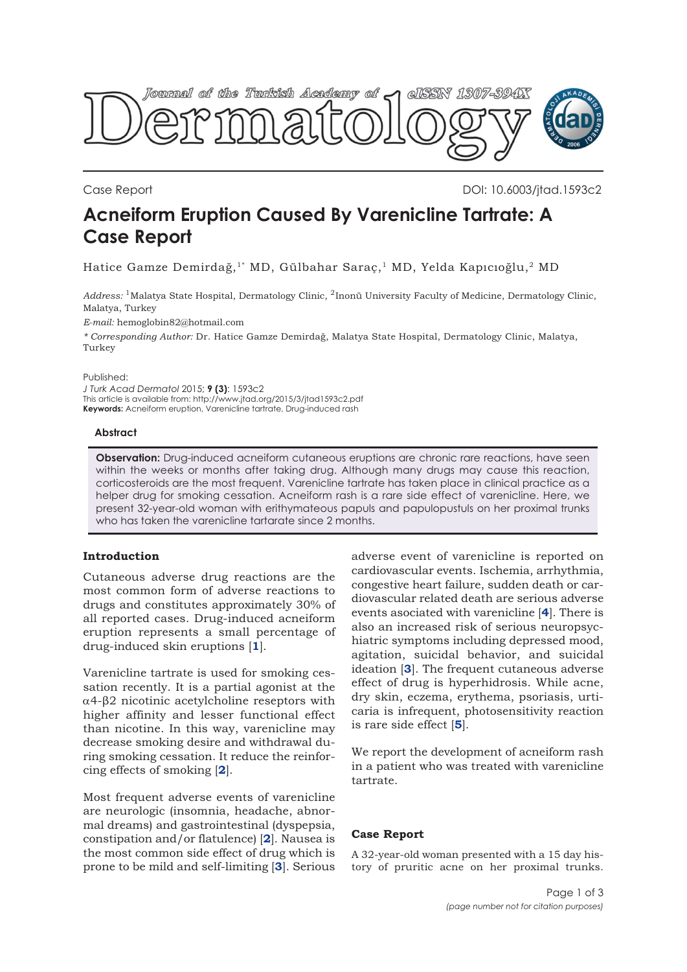

Case Report DOI: 10.6003/jtad.1593c2

# **Acneiform Eruption Caused By Varenicline Tartrate: A Case Report**

Hatice Gamze Demirdağ,1\* MD, Gülbahar Saraç,1 MD, Yelda Kapıcıoğlu,2 MD

*Address:* 1Malatya State Hospital, Dermatology Clinic, 2Inonü University Faculty of Medicine, Dermatology Clinic, Malatya, Turkey

*E-mail:* hemoglobin82@hotmail.com

*\* Corresponding Author:* Dr. Hatice Gamze Demirdağ, Malatya State Hospital, Dermatology Clinic, Malatya, Turkey

Published:

*J Turk Acad Dermatol* 2015; **9 (3)**: 1593c2 This article is available from: http://www.jtad.org/2015/3/jtad1593c2.pdf **Keywords:** Acneiform eruption, Varenicline tartrate, Drug-induced rash

#### **Abstract**

**Observation:** Drug-induced acneiform cutaneous eruptions are chronic rare reactions, have seen within the weeks or months after taking drug. Although many drugs may cause this reaction, corticosteroids are the most frequent. Varenicline tartrate has taken place in clinical practice as a helper drug for smoking cessation. Acneiform rash is a rare side effect of varenicline. Here, we present 32-year-old woman with erithymateous papuls and papulopustuls on her proximal trunks who has taken the varenicline tartarate since 2 months.

## **Introduction**

Cutaneous adverse drug reactions are the most common form of adverse reactions to drugs and constitutes approximately 30% of all reported cases. Drug-induced acneiform eruption represents a small percentage of drug-induced skin eruptions [**[1](#page-2-0)**].

Varenicline tartrate is used for smoking cessation recently. It is a partial agonist at the α4-β2 nicotinic acetylcholine reseptors with higher affinity and lesser functional effect than nicotine. In this way, varenicline may decrease smoking desire and withdrawal during smoking cessation. It reduce the reinforcing effects of smoking [**[2](#page-2-0)**].

Most frequent adverse events of varenicline are neurologic (insomnia, headache, abnormal dreams) and gastrointestinal (dyspepsia, constipation and/or flatulence) [**[2](#page-2-0)**]. Nausea is the most common side effect of drug which is prone to be mild and self-limiting [**[3](#page-2-0)**]. Serious

adverse event of varenicline is reported on cardiovascular events. Ischemia, arrhythmia, congestive heart failure, sudden death or cardiovascular related death are serious adverse events asociated with varenicline [**[4](#page-2-0)**]. There is also an increased risk of serious neuropsychiatric symptoms including depressed mood, agitation, suicidal behavior, and suicidal ideation [**[3](#page-2-0)**]. The frequent cutaneous adverse effect of drug is hyperhidrosis. While acne, dry skin, eczema, erythema, psoriasis, urticaria is infrequent, photosensitivity reaction is rare side effect [**[5](#page-2-0)**].

We report the development of acneiform rash in a patient who was treated with varenicline tartrate.

#### **Case Report**

A 32-year-old woman presented with a 15 day history of pruritic acne on her proximal trunks.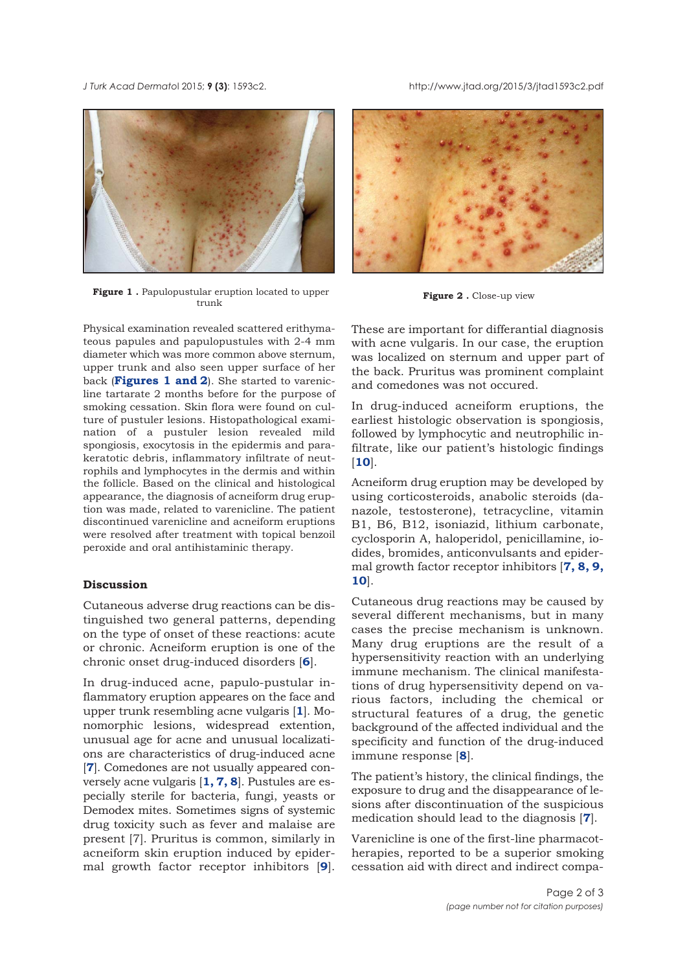*J Turk Acad Dermato*l 2015; **9 (3)**: 1593c2. http://www.jtad.org/2015/3/jtad1593c2.pdf



**Figure 1 .** Papulopustular eruption located to upper ular eruption located to upper<br>trunk **Figure 2** . Close-up view

Physical examination revealed scattered erithymateous papules and papulopustules with 2-4 mm diameter which was more common above sternum, upper trunk and also seen upper surface of her back (**Figures 1 and 2**). She started to varenicline tartarate 2 months before for the purpose of smoking cessation. Skin flora were found on culture of pustuler lesions. Histopathological examination of a pustuler lesion revealed mild spongiosis, exocytosis in the epidermis and parakeratotic debris, inflammatory infiltrate of neutrophils and lymphocytes in the dermis and within the follicle. Based on the clinical and histological appearance, the diagnosis of acneiform drug eruption was made, related to varenicline. The patient discontinued varenicline and acneiform eruptions were resolved after treatment with topical benzoil peroxide and oral antihistaminic therapy.

### **Discussion**

Cutaneous adverse drug reactions can be distinguished two general patterns, depending on the type of onset of these reactions: acute or chronic. Acneiform eruption is one of the chronic onset drug-induced disorders [**[6](#page-2-0)**].

In drug-induced acne, papulo-pustular inflammatory eruption appeares on the face and upper trunk resembling acne vulgaris [**[1](#page-2-0)**]. Monomorphic lesions, widespread extention, unusual age for acne and unusual localizations are characteristics of drug-induced acne [**[7](#page-2-0)**]. Comedones are not usually appeared conversely acne vulgaris [**[1, 7, 8](#page-2-0)**]. Pustules are especially sterile for bacteria, fungi, yeasts or Demodex mites. Sometimes signs of systemic drug toxicity such as fever and malaise are present [7]. Pruritus is common, similarly in acneiform skin eruption induced by epidermal growth factor receptor inhibitors [**[9](#page-2-0)**].



These are important for differantial diagnosis with acne vulgaris. In our case, the eruption was localized on sternum and upper part of the back. Pruritus was prominent complaint and comedones was not occured.

In drug-induced acneiform eruptions, the earliest histologic observation is spongiosis, followed by lymphocytic and neutrophilic infiltrate, like our patient's histologic findings [**[10](#page-2-0)**].

Acneiform drug eruption may be developed by using corticosteroids, anabolic steroids (danazole, testosterone), tetracycline, vitamin B1, B6, B12, isoniazid, lithium carbonate, cyclosporin A, haloperidol, penicillamine, iodides, bromides, anticonvulsants and epidermal growth factor receptor inhibitors [**[7, 8, 9,](#page-2-0) [10](#page-2-0)**].

Cutaneous drug reactions may be caused by several different mechanisms, but in many cases the precise mechanism is unknown. Many drug eruptions are the result of a hypersensitivity reaction with an underlying immune mechanism. The clinical manifestations of drug hypersensitivity depend on various factors, including the chemical or structural features of a drug, the genetic background of the affected individual and the specificity and function of the drug-induced immune response [**[8](#page-2-0)**].

The patient's history, the clinical findings, the exposure to drug and the disappearance of lesions after discontinuation of the suspicious medication should lead to the diagnosis [**[7](#page-2-0)**].

Varenicline is one of the first-line pharmacotherapies, reported to be a superior smoking cessation aid with direct and indirect compa